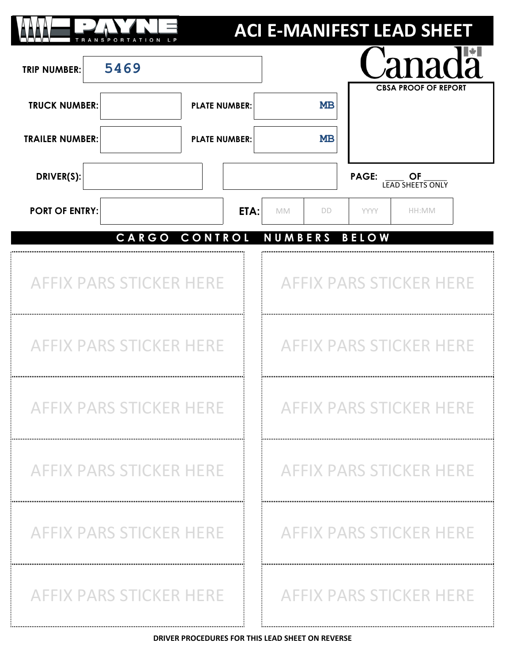|                                              |                      |      |           |           |               | <b>ACI E-MANIFEST LEAD SHEET</b>    |  |
|----------------------------------------------|----------------------|------|-----------|-----------|---------------|-------------------------------------|--|
| 5469<br><b>TRIP NUMBER:</b>                  |                      |      |           |           |               | anada                               |  |
| <b>TRUCK NUMBER:</b><br><b>PLATE NUMBER:</b> |                      |      |           | <b>MB</b> |               | <b>CBSA PROOF OF REPORT</b>         |  |
| <b>TRAILER NUMBER:</b>                       | <b>PLATE NUMBER:</b> |      |           | <b>MB</b> |               |                                     |  |
| DRIVER(S):                                   |                      |      |           |           |               | <b>PAGE: OF</b><br>LEAD SHEETS ONLY |  |
| <b>PORT OF ENTRY:</b>                        |                      | ETA: | <b>MM</b> | <b>DD</b> | <b>YYYY</b>   | HH:MM                               |  |
|                                              | CONTROL<br>CARGO     |      |           |           | NUMBERS BELOW |                                     |  |
| <b>AFFIX PARS STICKER HERE</b>               |                      |      |           |           |               | <b>AFFIX PARS STICKER HERE</b>      |  |
| <b>AFFIX PARS STICKER HERE</b>               |                      |      |           |           |               | <b>AFFIX PARS STICKER HERE</b>      |  |
| <b>AFFIX PARS STICKER HERE</b>               |                      |      |           |           |               | <b>AFFIX PARS STICKER HERE</b>      |  |
| <b>AFFIX PARS STICKER HERE</b>               |                      |      |           |           |               | <b>AFFIX PARS STICKER HERE</b>      |  |
| <b>AFFIX PARS STICKER HERE</b>               |                      |      |           |           |               | <b>AFFIX PARS STICKER HERE</b>      |  |
| <b>AFFIX PARS STICKER HERE</b>               |                      |      |           |           |               | <b>AFFIX PARS STICKER HERE</b>      |  |